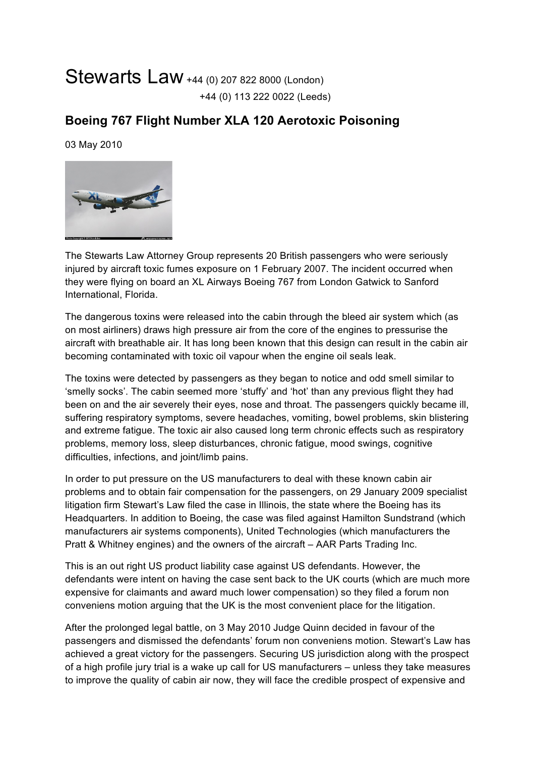## Stewarts Law +44 (0) 207 822 8000 (London) +44 (0) 113 222 0022 (Leeds)

## **Boeing 767 Flight Number XLA 120 Aerotoxic Poisoning**

03 May 2010



The Stewarts Law Attorney Group represents 20 British passengers who were seriously injured by aircraft toxic fumes exposure on 1 February 2007. The incident occurred when they were flying on board an XL Airways Boeing 767 from London Gatwick to Sanford International, Florida.

The dangerous toxins were released into the cabin through the bleed air system which (as on most airliners) draws high pressure air from the core of the engines to pressurise the aircraft with breathable air. It has long been known that this design can result in the cabin air becoming contaminated with toxic oil vapour when the engine oil seals leak.

The toxins were detected by passengers as they began to notice and odd smell similar to 'smelly socks'. The cabin seemed more 'stuffy' and 'hot' than any previous flight they had been on and the air severely their eyes, nose and throat. The passengers quickly became ill, suffering respiratory symptoms, severe headaches, vomiting, bowel problems, skin blistering and extreme fatigue. The toxic air also caused long term chronic effects such as respiratory problems, memory loss, sleep disturbances, chronic fatigue, mood swings, cognitive difficulties, infections, and joint/limb pains.

In order to put pressure on the US manufacturers to deal with these known cabin air problems and to obtain fair compensation for the passengers, on 29 January 2009 specialist litigation firm Stewart's Law filed the case in Illinois, the state where the Boeing has its Headquarters. In addition to Boeing, the case was filed against Hamilton Sundstrand (which manufacturers air systems components), United Technologies (which manufacturers the Pratt & Whitney engines) and the owners of the aircraft – AAR Parts Trading Inc.

This is an out right US product liability case against US defendants. However, the defendants were intent on having the case sent back to the UK courts (which are much more expensive for claimants and award much lower compensation) so they filed a forum non conveniens motion arguing that the UK is the most convenient place for the litigation.

After the prolonged legal battle, on 3 May 2010 Judge Quinn decided in favour of the passengers and dismissed the defendants' forum non conveniens motion. Stewart's Law has achieved a great victory for the passengers. Securing US jurisdiction along with the prospect of a high profile jury trial is a wake up call for US manufacturers – unless they take measures to improve the quality of cabin air now, they will face the credible prospect of expensive and